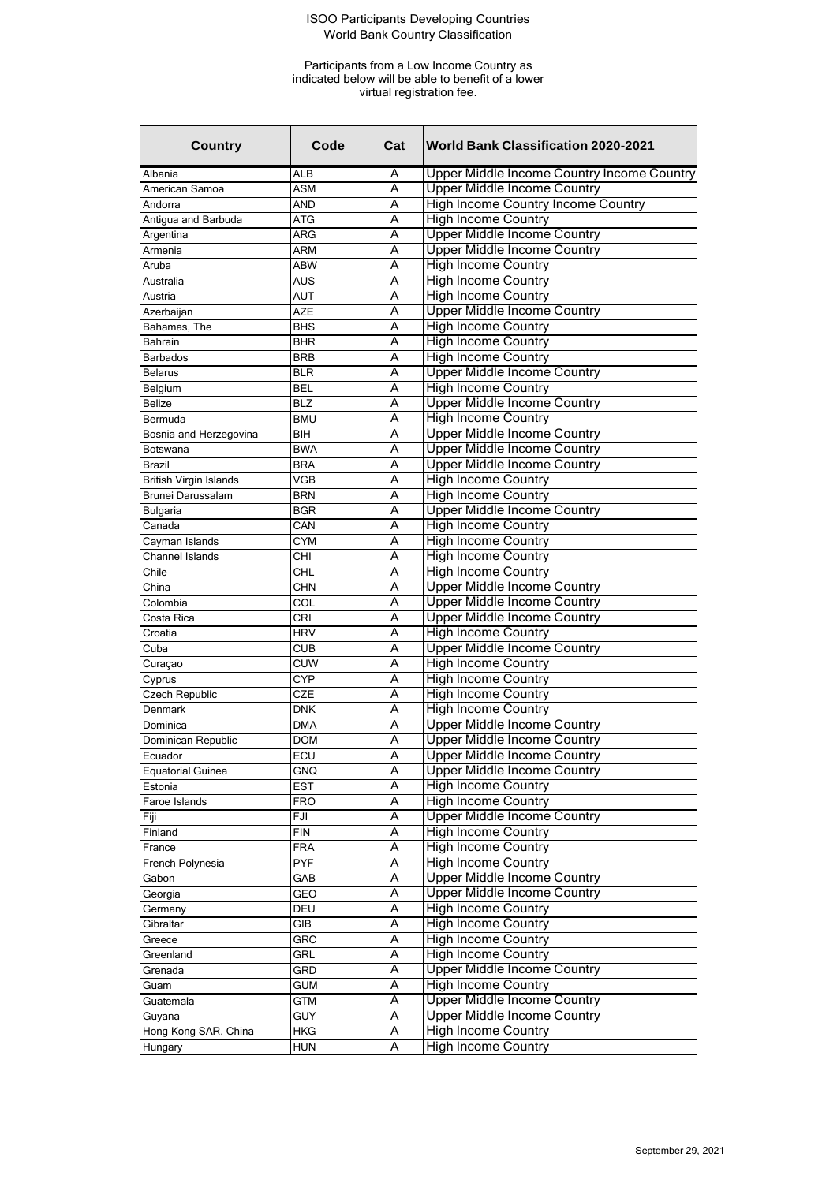| <b>Country</b>                | Code       | Cat | <b>World Bank Classification 2020-2021</b> |
|-------------------------------|------------|-----|--------------------------------------------|
| Albania                       | <b>ALB</b> | A   | Upper Middle Income Country Income Country |
| American Samoa                | ASM        | A   | <b>Upper Middle Income Country</b>         |
| Andorra                       | AND        | A   | High Income Country Income Country         |
| Antigua and Barbuda           | <b>ATG</b> | A   | <b>High Income Country</b>                 |
| Argentina                     | <b>ARG</b> | A   | <b>Upper Middle Income Country</b>         |
| Armenia                       | <b>ARM</b> | Α   | <b>Upper Middle Income Country</b>         |
| Aruba                         | <b>ABW</b> | Α   | <b>High Income Country</b>                 |
| Australia                     | <b>AUS</b> | A   | <b>High Income Country</b>                 |
| Austria                       | <b>AUT</b> | A   | <b>High Income Country</b>                 |
| Azerbaijan                    | AZE        | A   | <b>Upper Middle Income Country</b>         |
| Bahamas, The                  | <b>BHS</b> | A   | <b>High Income Country</b>                 |
| Bahrain                       | <b>BHR</b> | Α   | <b>High Income Country</b>                 |
| <b>Barbados</b>               | <b>BRB</b> | А   | <b>High Income Country</b>                 |
| <b>Belarus</b>                | <b>BLR</b> | A   | <b>Upper Middle Income Country</b>         |
| Belgium                       | <b>BEL</b> | A   | <b>High Income Country</b>                 |
| <b>Belize</b>                 | <b>BLZ</b> | A   | <b>Upper Middle Income Country</b>         |
| Bermuda                       | <b>BMU</b> | Α   | <b>High Income Country</b>                 |
| Bosnia and Herzegovina        | <b>BIH</b> | Α   | <b>Upper Middle Income Country</b>         |
| Botswana                      | <b>BWA</b> | А   | <b>Upper Middle Income Country</b>         |
| Brazil                        | <b>BRA</b> | A   | <b>Upper Middle Income Country</b>         |
| <b>British Virgin Islands</b> | <b>VGB</b> | A   | <b>High Income Country</b>                 |
| Brunei Darussalam             | <b>BRN</b> | A   | <b>High Income Country</b>                 |
| Bulgaria                      | <b>BGR</b> | Α   | <b>Upper Middle Income Country</b>         |
| Canada                        | CAN        | А   | <b>High Income Country</b>                 |
| Cayman Islands                | <b>CYM</b> | A   | <b>High Income Country</b>                 |
| Channel Islands               | CHI        | A   | <b>High Income Country</b>                 |
| Chile                         | CHL        | A   | <b>High Income Country</b>                 |
| China                         | <b>CHN</b> | Α   | <b>Upper Middle Income Country</b>         |
| Colombia                      | COL        | Α   | <b>Upper Middle Income Country</b>         |
| Costa Rica                    | CRI        | A   | <b>Upper Middle Income Country</b>         |
| Croatia                       | <b>HRV</b> | A   | <b>High Income Country</b>                 |
| Cuba                          | <b>CUB</b> | A   | <b>Upper Middle Income Country</b>         |
| Curaçao                       | <b>CUW</b> | A   | <b>High Income Country</b>                 |
| Cyprus                        | <b>CYP</b> | Α   | <b>High Income Country</b>                 |
| <b>Czech Republic</b>         | CZE        | А   | <b>High Income Country</b>                 |
| Denmark                       | <b>DNK</b> | A   | <b>High Income Country</b>                 |
| Dominica                      | <b>DMA</b> | A   | <b>Upper Middle Income Country</b>         |
| Dominican Republic            | <b>DOM</b> | Ā   | <b>Upper Middle Income Country</b>         |
| Ecuador                       | ECU        | Α   | <b>Upper Middle Income Country</b>         |
| <b>Equatorial Guinea</b>      | GNQ        | Α   | <b>Upper Middle Income Country</b>         |
| Estonia                       | <b>EST</b> | Α   | <b>High Income Country</b>                 |
| Faroe Islands                 | <b>FRO</b> | Α   | <b>High Income Country</b>                 |
| Fiji                          | FJI        | Α   | <b>Upper Middle Income Country</b>         |
| Finland                       | <b>FIN</b> | Ā   | <b>High Income Country</b>                 |
| France                        | <b>FRA</b> | Α   | <b>High Income Country</b>                 |
| French Polynesia              | <b>PYF</b> | Α   | <b>High Income Country</b>                 |
| Gabon                         | GAB        | Α   | <b>Upper Middle Income Country</b>         |
| Georgia                       | GEO        | Α   | <b>Upper Middle Income Country</b>         |
| Germany                       | DEU        | Α   | <b>High Income Country</b>                 |
| Gibraltar                     | GIB        | Α   | <b>High Income Country</b>                 |
| Greece                        | GRC        | A   | <b>High Income Country</b>                 |
| Greenland                     | GRL        | Α   | <b>High Income Country</b>                 |
| Grenada                       | GRD        | Α   | <b>Upper Middle Income Country</b>         |
| Guam                          | <b>GUM</b> | Α   | <b>High Income Country</b>                 |
| Guatemala                     | <b>GTM</b> | Α   | <b>Upper Middle Income Country</b>         |
| Guyana                        | <b>GUY</b> | Α   | <b>Upper Middle Income Country</b>         |
| Hong Kong SAR, China          | <b>HKG</b> | Α   | <b>High Income Country</b>                 |
| Hungary                       | <b>HUN</b> | A   | <b>High Income Country</b>                 |
|                               |            |     |                                            |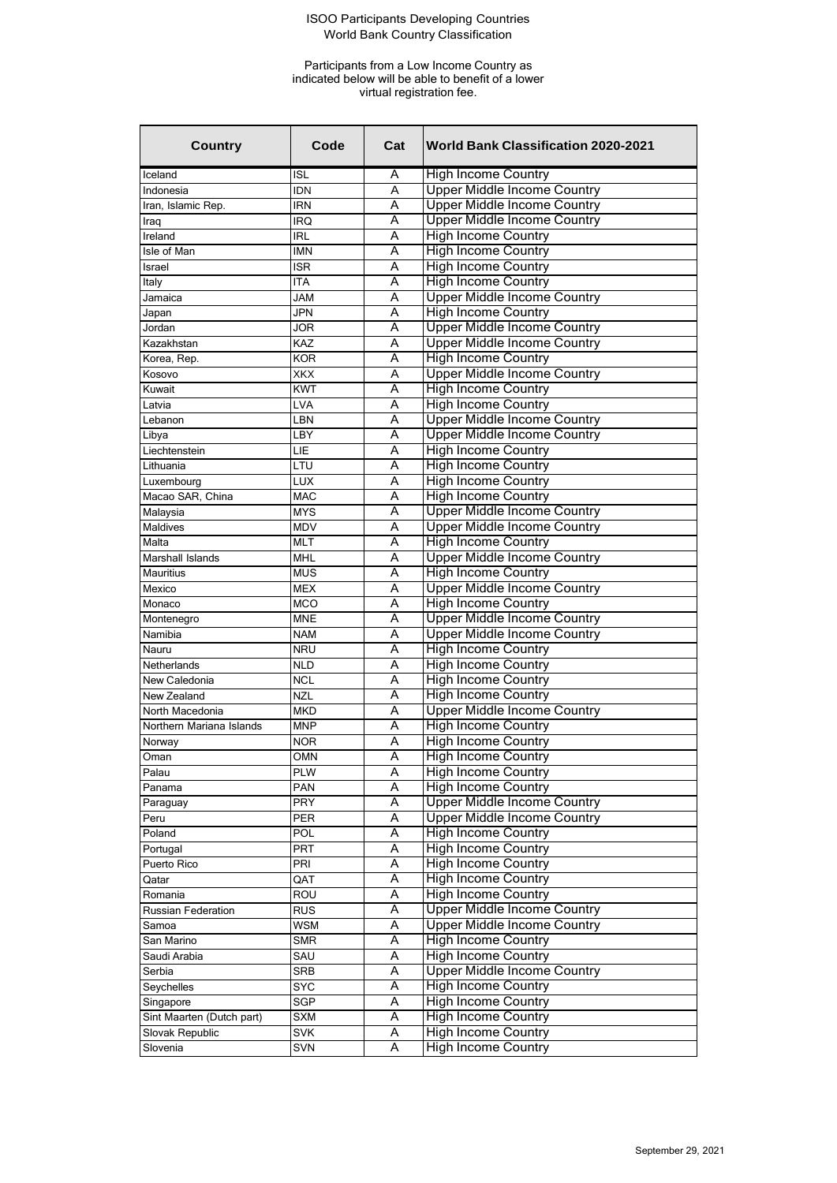| <b>Country</b>            | Code       | Cat | <b>World Bank Classification 2020-2021</b> |
|---------------------------|------------|-----|--------------------------------------------|
| Iceland                   | <b>ISL</b> | A   | <b>High Income Country</b>                 |
| Indonesia                 | <b>IDN</b> | A   | <b>Upper Middle Income Country</b>         |
| Iran, Islamic Rep.        | <b>IRN</b> | А   | <b>Upper Middle Income Country</b>         |
| Iraq                      | IRQ        | A   | <b>Upper Middle Income Country</b>         |
| Ireland                   | <b>IRL</b> | A   | <b>High Income Country</b>                 |
| Isle of Man               | <b>IMN</b> | A   | <b>High Income Country</b>                 |
| Israel                    | <b>ISR</b> | A   | <b>High Income Country</b>                 |
| Italy                     | ITA        | Α   | <b>High Income Country</b>                 |
| Jamaica                   | <b>JAM</b> | A   | <b>Upper Middle Income Country</b>         |
| Japan                     | <b>JPN</b> | A   | <b>High Income Country</b>                 |
| Jordan                    | <b>JOR</b> | A   | <b>Upper Middle Income Country</b>         |
| Kazakhstan                | <b>KAZ</b> | Α   | <b>Upper Middle Income Country</b>         |
| Korea, Rep.               | <b>KOR</b> | A   | <b>High Income Country</b>                 |
| Kosovo                    | XKX        | Α   | <b>Upper Middle Income Country</b>         |
| Kuwait                    | <b>KWT</b> | A   | <b>High Income Country</b>                 |
| Latvia                    | <b>LVA</b> | A   | <b>High Income Country</b>                 |
| Lebanon                   | LBN        | A   | <b>Upper Middle Income Country</b>         |
| Libya                     | LBY        | A   | <b>Upper Middle Income Country</b>         |
| Liechtenstein             | LIE        | A   | <b>High Income Country</b>                 |
| Lithuania                 | LTU        | A   | <b>High Income Country</b>                 |
| Luxembourg                | <b>LUX</b> | A   | <b>High Income Country</b>                 |
| Macao SAR, China          | <b>MAC</b> | A   | <b>High Income Country</b>                 |
| Malaysia                  | <b>MYS</b> | Α   | <b>Upper Middle Income Country</b>         |
| <b>Maldives</b>           | <b>MDV</b> | A   | <b>Upper Middle Income Country</b>         |
| Malta                     | <b>MLT</b> | А   | <b>High Income Country</b>                 |
| Marshall Islands          | <b>MHL</b> | A   | <b>Upper Middle Income Country</b>         |
| Mauritius                 | <b>MUS</b> | A   | <b>High Income Country</b>                 |
| Mexico                    | <b>MEX</b> | A   | <b>Upper Middle Income Country</b>         |
| Monaco                    | <b>MCO</b> | A   | <b>High Income Country</b>                 |
| Montenegro                | MNE        | Α   | <b>Upper Middle Income Country</b>         |
| Namibia                   | <b>NAM</b> | A   | <b>Upper Middle Income Country</b>         |
| Nauru                     | <b>NRU</b> | A   | <b>High Income Country</b>                 |
| Netherlands               | <b>NLD</b> | A   | <b>High Income Country</b>                 |
| New Caledonia             | <b>NCL</b> | Α   | <b>High Income Country</b>                 |
| New Zealand               | <b>NZL</b> | A   | <b>High Income Country</b>                 |
| North Macedonia           | <b>MKD</b> | А   | <b>Upper Middle Income Country</b>         |
| Northern Mariana Islands  | <b>MNP</b> | A   | <b>High Income Country</b>                 |
| Norway                    | <b>NOR</b> | Α   | <b>High Income Country</b>                 |
| Oman                      | <b>OMN</b> | Ā   | <b>High Income Country</b>                 |
| Palau                     | <b>PLW</b> | Α   | <b>High Income Country</b>                 |
| Panama                    | PAN        | A   | <b>High Income Country</b>                 |
| Paraguay                  | PRY        | Α   | <b>Upper Middle Income Country</b>         |
| Peru                      | PER        | Α   | <b>Upper Middle Income Country</b>         |
| Poland                    | POL        | Α   | <b>High Income Country</b>                 |
| Portugal                  | PRT        | Α   | <b>High Income Country</b>                 |
| Puerto Rico               | PRI        | Α   | <b>High Income Country</b>                 |
| Qatar                     | QAT        | Α   | <b>High Income Country</b>                 |
| Romania                   | ROU        | Α   | <b>High Income Country</b>                 |
| Russian Federation        | <b>RUS</b> | Α   | <b>Upper Middle Income Country</b>         |
| Samoa                     | <b>WSM</b> | Α   | <b>Upper Middle Income Country</b>         |
| San Marino                | <b>SMR</b> | A   | <b>High Income Country</b>                 |
| Saudi Arabia              | SAU        | Α   | <b>High Income Country</b>                 |
| Serbia                    | SRB        | Α   | <b>Upper Middle Income Country</b>         |
| Seychelles                | <b>SYC</b> | Α   | <b>High Income Country</b>                 |
| Singapore                 | SGP        | Α   | <b>High Income Country</b>                 |
| Sint Maarten (Dutch part) | <b>SXM</b> | Α   | <b>High Income Country</b>                 |
| Slovak Republic           | <b>SVK</b> | Α   | <b>High Income Country</b>                 |
| Slovenia                  | SVN        | Α   | <b>High Income Country</b>                 |
|                           |            |     |                                            |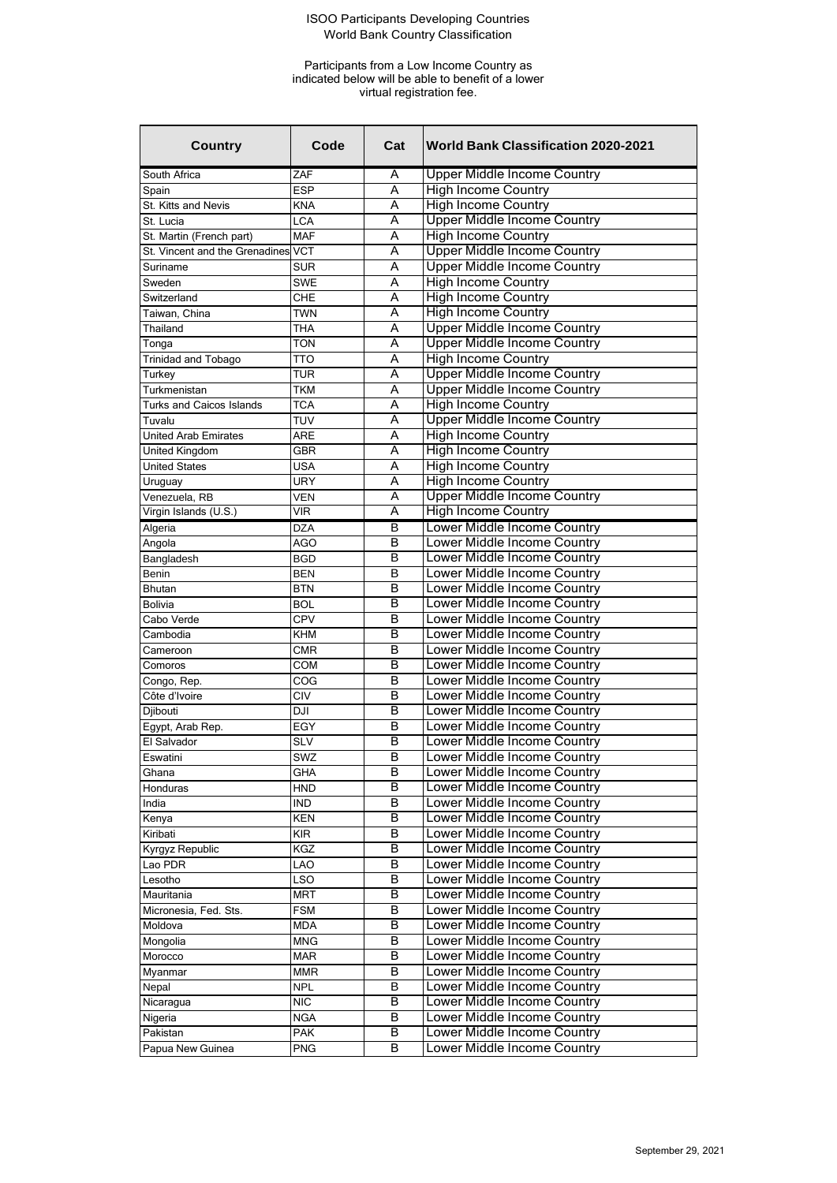| <b>Country</b>                  | Code            | Cat | <b>World Bank Classification 2020-2021</b> |
|---------------------------------|-----------------|-----|--------------------------------------------|
| South Africa                    | ZAF             | Α   | <b>Upper Middle Income Country</b>         |
| Spain                           | <b>ESP</b>      | А   | <b>High Income Country</b>                 |
| St. Kitts and Nevis             | KNA             | Α   | <b>High Income Country</b>                 |
| St. Lucia                       | <b>LCA</b>      | A   | <b>Upper Middle Income Country</b>         |
| St. Martin (French part)        | <b>MAF</b>      | A   | <b>High Income Country</b>                 |
| St. Vincent and the Grenadines  | <b>VCT</b>      | A   | <b>Upper Middle Income Country</b>         |
| Suriname                        | <b>SUR</b>      | Α   | <b>Upper Middle Income Country</b>         |
| Sweden                          | <b>SWE</b>      | A   | <b>High Income Country</b>                 |
| Switzerland                     | <b>CHE</b>      | A   | <b>High Income Country</b>                 |
| Taiwan, China                   | <b>TWN</b>      | A   | <b>High Income Country</b>                 |
| Thailand                        | <b>THA</b>      | A   | <b>Upper Middle Income Country</b>         |
| Tonga                           | <b>TON</b>      | A   | <b>Upper Middle Income Country</b>         |
| Trinidad and Tobago             | TTO             | A   | <b>High Income Country</b>                 |
| Turkey                          | TUR             | A   | <b>Upper Middle Income Country</b>         |
| Turkmenistan                    | <b>TKM</b>      | A   | <b>Upper Middle Income Country</b>         |
| <b>Turks and Caicos Islands</b> | <b>TCA</b>      | А   | <b>High Income Country</b>                 |
| Tuvalu                          | <b>TUV</b>      | A   | <b>Upper Middle Income Country</b>         |
| <b>United Arab Emirates</b>     | ARE             | Α   | <b>High Income Country</b>                 |
| United Kingdom                  | <b>GBR</b>      | A   | <b>High Income Country</b>                 |
| <b>United States</b>            | USA             | A   | <b>High Income Country</b>                 |
|                                 | <b>URY</b>      | A   | <b>High Income Country</b>                 |
| Uruguay<br>Venezuela, RB        | <b>VEN</b>      | A   | <b>Upper Middle Income Country</b>         |
| Virgin Islands (U.S.)           | <b>VIR</b>      | A   | <b>High Income Country</b>                 |
|                                 |                 | в   | Lower Middle Income Country                |
| Algeria                         | <b>DZA</b>      |     |                                            |
| Angola                          | AGO             | В   | Lower Middle Income Country                |
| Bangladesh                      | BGD             | B   | Lower Middle Income Country                |
| Benin                           | BEN             | В   | Lower Middle Income Country                |
| <b>Bhutan</b>                   | <b>BTN</b>      | В   | Lower Middle Income Country                |
| <b>Bolivia</b>                  | BOL             | В   | Lower Middle Income Country                |
| Cabo Verde                      | <b>CPV</b>      | в   | Lower Middle Income Country                |
| Cambodia                        | <b>KHM</b>      | В   | Lower Middle Income Country                |
| Cameroon                        | <b>CMR</b>      | В   | Lower Middle Income Country                |
| Comoros                         | <b>COM</b>      | B   | Lower Middle Income Country                |
| Congo, Rep.                     | COG             | В   | Lower Middle Income Country                |
| Côte d'Ivoire                   | C <sub>IV</sub> | В   | Lower Middle Income Country                |
| Djibouti                        | DJI             | В   | Lower Middle Income Country                |
| Egypt, Arab Rep.                | EGY             | B   | Lower Middle Income Country                |
| El Salvador                     | <b>SLV</b>      | B   | Lower Middle Income Country                |
| Eswatini                        | <b>SWZ</b>      | В   | Lower Middle Income Country                |
| Ghana                           | GHA             | В   | Lower Middle Income Country                |
| Honduras                        | <b>HND</b>      | В   | Lower Middle Income Country                |
| India                           | <b>IND</b>      | B   | Lower Middle Income Country                |
| Kenya                           | KEN             | B   | Lower Middle Income Country                |
| Kiribati                        | KIR.            | B   | Lower Middle Income Country                |
| Kyrgyz Republic                 | KGZ             | В   | Lower Middle Income Country                |
| Lao PDR                         | LAO             | B   | Lower Middle Income Country                |
| Lesotho                         | LSO             | в   | Lower Middle Income Country                |
| Mauritania                      | MRT             | B   | Lower Middle Income Country                |
| Micronesia, Fed. Sts.           | <b>FSM</b>      | B   | Lower Middle Income Country                |
| Moldova                         | <b>MDA</b>      | В   | Lower Middle Income Country                |
| Mongolia                        | <b>MNG</b>      | В   | Lower Middle Income Country                |
| Morocco                         | MAR             | в   | Lower Middle Income Country                |
| Myanmar                         | MMR             | В   | Lower Middle Income Country                |
| Nepal                           | <b>NPL</b>      | B   | Lower Middle Income Country                |
| Nicaragua                       | <b>NIC</b>      | B   | Lower Middle Income Country                |
| Nigeria                         | <b>NGA</b>      | В   | Lower Middle Income Country                |
| Pakistan                        | <b>PAK</b>      | В   | Lower Middle Income Country                |
| Papua New Guinea                | <b>PNG</b>      | В   | Lower Middle Income Country                |
|                                 |                 |     |                                            |